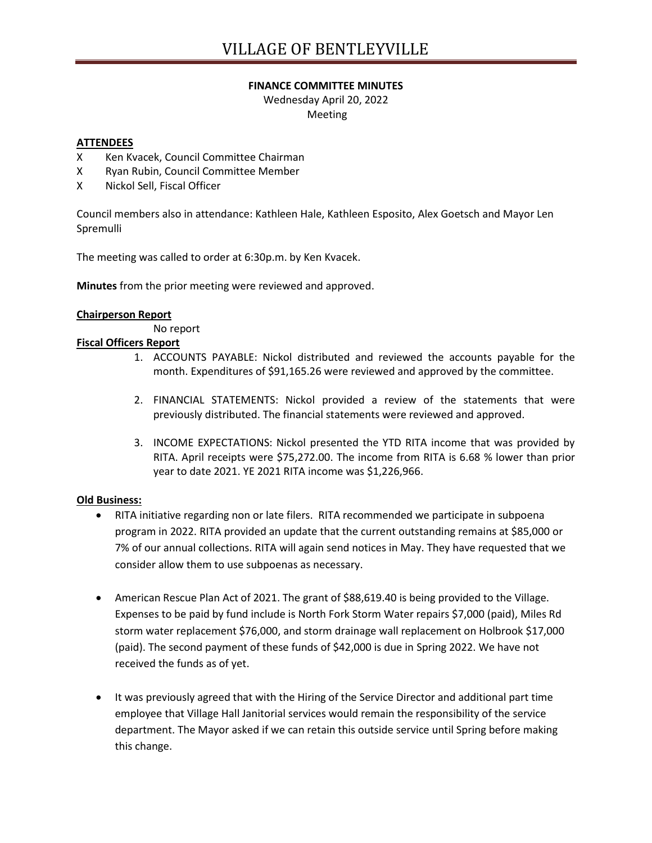### **FINANCE COMMITTEE MINUTES**

Wednesday April 20, 2022 Meeting

### **ATTENDEES**

- X Ken Kvacek, Council Committee Chairman
- X Ryan Rubin, Council Committee Member
- X Nickol Sell, Fiscal Officer

Council members also in attendance: Kathleen Hale, Kathleen Esposito, Alex Goetsch and Mayor Len Spremulli

The meeting was called to order at 6:30p.m. by Ken Kvacek.

**Minutes** from the prior meeting were reviewed and approved.

### **Chairperson Report**

No report

# **Fiscal Officers Report**

- 1. ACCOUNTS PAYABLE: Nickol distributed and reviewed the accounts payable for the month. Expenditures of \$91,165.26 were reviewed and approved by the committee.
- 2. FINANCIAL STATEMENTS: Nickol provided a review of the statements that were previously distributed. The financial statements were reviewed and approved.
- 3. INCOME EXPECTATIONS: Nickol presented the YTD RITA income that was provided by RITA. April receipts were \$75,272.00. The income from RITA is 6.68 % lower than prior year to date 2021. YE 2021 RITA income was \$1,226,966.

### **Old Business:**

- RITA initiative regarding non or late filers. RITA recommended we participate in subpoena program in 2022. RITA provided an update that the current outstanding remains at \$85,000 or 7% of our annual collections. RITA will again send notices in May. They have requested that we consider allow them to use subpoenas as necessary.
- American Rescue Plan Act of 2021. The grant of \$88,619.40 is being provided to the Village. Expenses to be paid by fund include is North Fork Storm Water repairs \$7,000 (paid), Miles Rd storm water replacement \$76,000, and storm drainage wall replacement on Holbrook \$17,000 (paid). The second payment of these funds of \$42,000 is due in Spring 2022. We have not received the funds as of yet.
- It was previously agreed that with the Hiring of the Service Director and additional part time employee that Village Hall Janitorial services would remain the responsibility of the service department. The Mayor asked if we can retain this outside service until Spring before making this change.